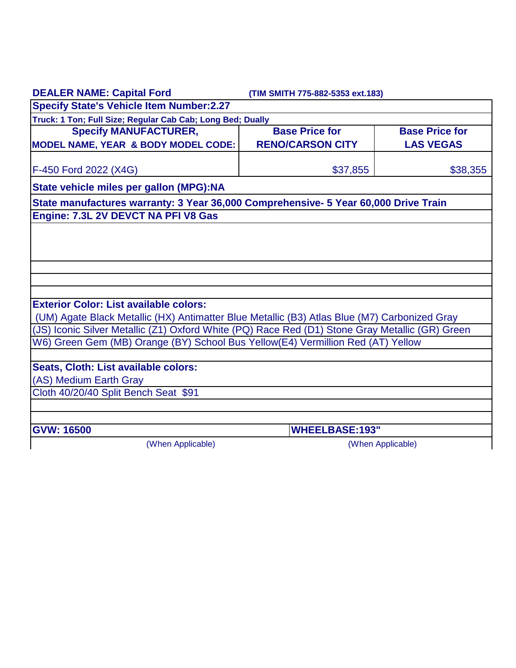| <b>DEALER NAME: Capital Ford</b>                                                                | (TIM SMITH 775-882-5353 ext.183) |                       |
|-------------------------------------------------------------------------------------------------|----------------------------------|-----------------------|
| <b>Specify State's Vehicle Item Number:2.27</b>                                                 |                                  |                       |
| Truck: 1 Ton; Full Size; Regular Cab Cab; Long Bed; Dually                                      |                                  |                       |
| <b>Specify MANUFACTURER,</b>                                                                    | <b>Base Price for</b>            | <b>Base Price for</b> |
| MODEL NAME, YEAR & BODY MODEL CODE:                                                             | <b>RENO/CARSON CITY</b>          | <b>LAS VEGAS</b>      |
| F-450 Ford 2022 (X4G)                                                                           | \$37,855                         | \$38,355              |
| State vehicle miles per gallon (MPG):NA                                                         |                                  |                       |
| State manufactures warranty: 3 Year 36,000 Comprehensive- 5 Year 60,000 Drive Train             |                                  |                       |
| Engine: 7.3L 2V DEVCT NA PFI V8 Gas                                                             |                                  |                       |
|                                                                                                 |                                  |                       |
|                                                                                                 |                                  |                       |
|                                                                                                 |                                  |                       |
|                                                                                                 |                                  |                       |
|                                                                                                 |                                  |                       |
| <b>Exterior Color: List available colors:</b>                                                   |                                  |                       |
| (UM) Agate Black Metallic (HX) Antimatter Blue Metallic (B3) Atlas Blue (M7) Carbonized Gray    |                                  |                       |
| (JS) Iconic Silver Metallic (Z1) Oxford White (PQ) Race Red (D1) Stone Gray Metallic (GR) Green |                                  |                       |
| W6) Green Gem (MB) Orange (BY) School Bus Yellow(E4) Vermillion Red (AT) Yellow                 |                                  |                       |
|                                                                                                 |                                  |                       |
| Seats, Cloth: List available colors:                                                            |                                  |                       |
| (AS) Medium Earth Gray                                                                          |                                  |                       |
| Cloth 40/20/40 Split Bench Seat \$91                                                            |                                  |                       |
|                                                                                                 |                                  |                       |
| <b>GVW: 16500</b>                                                                               | <b>WHEELBASE:193"</b>            |                       |
| (When Applicable)                                                                               |                                  | (When Applicable)     |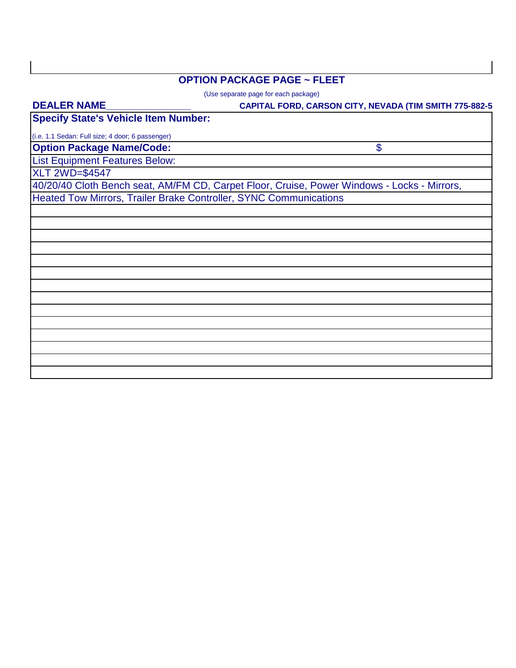## **OPTION PACKAGE PAGE ~ FLEET**

(Use separate page for each package)

| <b>DEALER NAME</b>                                                | <b>CAPITAL FORD, CARSON CITY, NEVADA (TIM SMITH 775-882-5</b>                               |
|-------------------------------------------------------------------|---------------------------------------------------------------------------------------------|
| <b>Specify State's Vehicle Item Number:</b>                       |                                                                                             |
| (i.e. 1.1 Sedan: Full size; 4 door; 6 passenger)                  |                                                                                             |
| <b>Option Package Name/Code:</b>                                  | \$                                                                                          |
| <b>List Equipment Features Below:</b>                             |                                                                                             |
| <b>XLT 2WD=\$4547</b>                                             |                                                                                             |
|                                                                   | 40/20/40 Cloth Bench seat, AM/FM CD, Carpet Floor, Cruise, Power Windows - Locks - Mirrors, |
| Heated Tow Mirrors, Trailer Brake Controller, SYNC Communications |                                                                                             |
|                                                                   |                                                                                             |
|                                                                   |                                                                                             |
|                                                                   |                                                                                             |
|                                                                   |                                                                                             |
|                                                                   |                                                                                             |
|                                                                   |                                                                                             |
|                                                                   |                                                                                             |
|                                                                   |                                                                                             |
|                                                                   |                                                                                             |
|                                                                   |                                                                                             |
|                                                                   |                                                                                             |
|                                                                   |                                                                                             |
|                                                                   |                                                                                             |
|                                                                   |                                                                                             |
|                                                                   |                                                                                             |